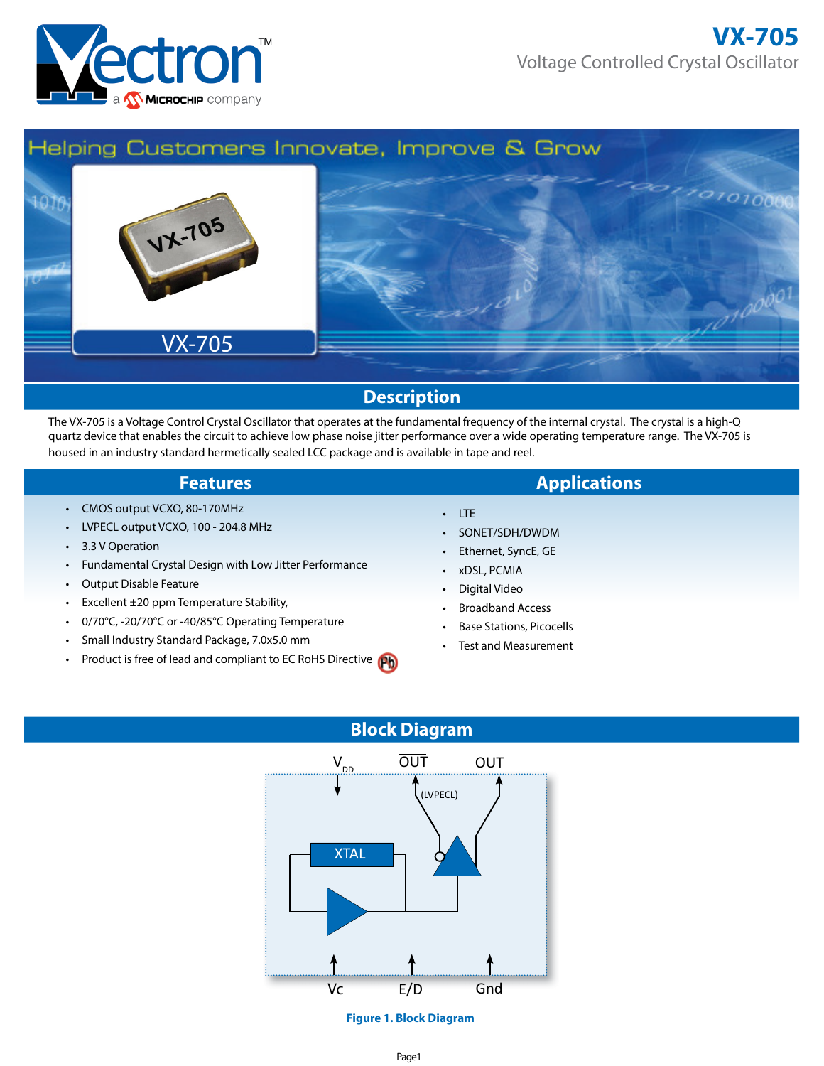



The VX-705 is a Voltage Control Crystal Oscillator that operates at the fundamental frequency of the internal crystal. The crystal is a high-Q quartz device that enables the circuit to achieve low phase noise jitter performance over a wide operating temperature range. The VX-705 is housed in an industry standard hermetically sealed LCC package and is available in tape and reel.

- CMOS output VCXO, 80-170MHz
- LVPECL output VCXO, 100 204.8 MHz
- 3.3 V Operation
- Fundamental Crystal Design with Low Jitter Performance
- Output Disable Feature
- Excellent ±20 ppm Temperature Stability,
- 0/70°C, -20/70°C or -40/85°C Operating Temperature
- Small Industry Standard Package, 7.0x5.0 mm
- Product is free of lead and compliant to EC RoHS Directive
- **Features Applications** 
	- LTE
	- SONET/SDH/DWDM
	- Ethernet, SyncE, GE
	- xDSL, PCMIA
	- Digital Video
	- Broadband Access
	- Base Stations, Picocells
	- Test and Measurement

# **Block Diagram**



**Figure 1. Block Diagram**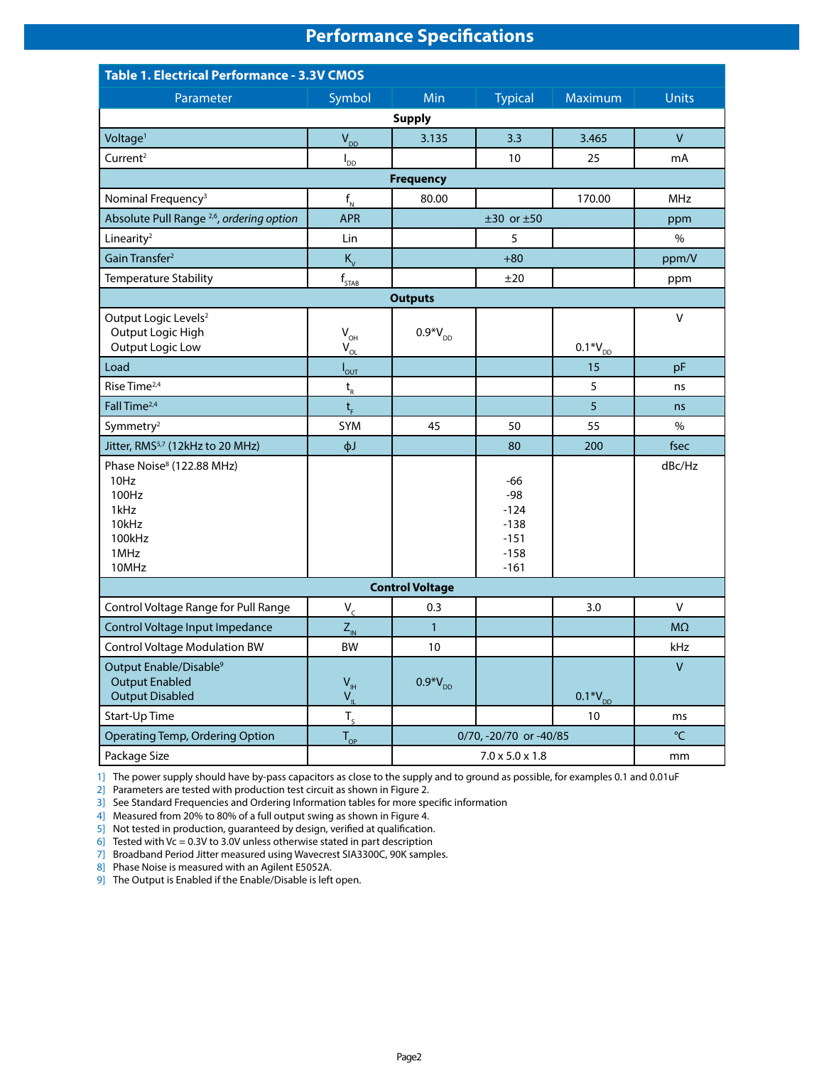# **Performance Specifications**

| <b>Table 1. Electrical Performance - 3.3V CMOS</b>                                                 |                                                                 |                                   |                                                                  |                 |                |  |  |  |
|----------------------------------------------------------------------------------------------------|-----------------------------------------------------------------|-----------------------------------|------------------------------------------------------------------|-----------------|----------------|--|--|--|
| Parameter                                                                                          | Symbol                                                          | Min                               | <b>Typical</b>                                                   | Maximum         | <b>Units</b>   |  |  |  |
| <b>Supply</b>                                                                                      |                                                                 |                                   |                                                                  |                 |                |  |  |  |
| Voltage <sup>1</sup>                                                                               | $V_{DD}$                                                        | 3.135                             | 3.3                                                              | 3.465           | $\mathsf{V}$   |  |  |  |
| Current <sup>2</sup>                                                                               | $I_{DD}$                                                        |                                   | 10                                                               | 25              | mA             |  |  |  |
|                                                                                                    |                                                                 | <b>Frequency</b>                  |                                                                  |                 |                |  |  |  |
| Nominal Frequency <sup>3</sup>                                                                     | $\mathsf{f}_{_{\sf N}}$                                         | 80.00                             |                                                                  | 170.00          | <b>MHz</b>     |  |  |  |
| Absolute Pull Range <sup>2,6</sup> , ordering option                                               | <b>APR</b>                                                      |                                   | $±30$ or $±50$                                                   |                 | ppm            |  |  |  |
| Linearity <sup>2</sup>                                                                             | Lin                                                             |                                   | 5                                                                |                 | $\%$           |  |  |  |
| Gain Transfer <sup>2</sup>                                                                         | $K_v$                                                           |                                   | $+80$                                                            |                 | ppm/V          |  |  |  |
| Temperature Stability                                                                              | $f_{\frac{\text{STAB}}{\text{}} }$                              |                                   | ±20                                                              |                 | ppm            |  |  |  |
|                                                                                                    |                                                                 | <b>Outputs</b>                    |                                                                  |                 |                |  |  |  |
| Output Logic Levels <sup>2</sup><br>Output Logic High<br>Output Logic Low                          | $V_{\text{OH}}$                                                 | $0.9*V_{DD}$                      |                                                                  | $0.1*V_{p}$     | V              |  |  |  |
| Load                                                                                               | $V_{OL}$                                                        |                                   |                                                                  | 15              | pF             |  |  |  |
| Rise Time <sup>2,4</sup>                                                                           | $I_{\text{OUT}}$<br>$\mathsf{t}_{\scriptscriptstyle\mathrm{R}}$ |                                   |                                                                  | 5               | ns             |  |  |  |
| Fall Time <sup>2,4</sup>                                                                           | $t_{\rm F}$                                                     |                                   |                                                                  | $\overline{5}$  | ns             |  |  |  |
| Symmetry <sup>2</sup>                                                                              | SYM                                                             | 45                                | 50                                                               | 55              | $\%$           |  |  |  |
| Jitter, RMS <sup>5,7</sup> (12kHz to 20 MHz)                                                       | фJ                                                              |                                   | 80                                                               | 200             | fsec           |  |  |  |
| Phase Noise <sup>8</sup> (122.88 MHz)<br>10Hz<br>100Hz<br>1kHz<br>10kHz<br>100kHz<br>1MHz<br>10MHz |                                                                 |                                   | $-66$<br>$-98$<br>$-124$<br>$-138$<br>$-151$<br>$-158$<br>$-161$ |                 | dBc/Hz         |  |  |  |
|                                                                                                    |                                                                 | <b>Control Voltage</b>            |                                                                  |                 |                |  |  |  |
| Control Voltage Range for Pull Range                                                               | $V_c$                                                           | 0.3                               |                                                                  | 3.0             | V              |  |  |  |
| Control Voltage Input Impedance                                                                    | $Z_{\text{IN}}$                                                 | $\mathbf{1}$                      |                                                                  |                 | M <sub>2</sub> |  |  |  |
| <b>Control Voltage Modulation BW</b>                                                               | BW                                                              | 10                                |                                                                  |                 | kHz            |  |  |  |
| Output Enable/Disable <sup>9</sup><br><b>Output Enabled</b><br><b>Output Disabled</b>              | $\mathsf{V}_{\scriptscriptstyle\mathsf{IH}}$<br>$V_{\parallel}$ | $0.9*V_{DD}$                      |                                                                  | $0.1*V_{DD}$    | $\sf V$        |  |  |  |
| Start-Up Time                                                                                      | $T_{s}$                                                         |                                   |                                                                  | 10 <sup>°</sup> | ms             |  |  |  |
| Operating Temp, Ordering Option                                                                    | $T_{\text{OP}}$                                                 |                                   | 0/70, -20/70 or -40/85                                           |                 | $^{\circ}$ C   |  |  |  |
| Package Size                                                                                       |                                                                 | $7.0 \times 5.0 \times 1.8$<br>mm |                                                                  |                 |                |  |  |  |

1] The power supply should have by-pass capacitors as close to the supply and to ground as possible, for examples 0.1 and 0.01uF

2] Parameters are tested with production test circuit as shown in Figure 2.

3] See Standard Frequencies and Ordering Information tables for more specific information

4] Measured from 20% to 80% of a full output swing as shown in Figure 4.

5] Not tested in production, guaranteed by design, verified at qualification.

6] Tested with Vc = 0.3V to 3.0V unless otherwise stated in part description

7] Broadband Period Jitter measured using Wavecrest SIA3300C, 90K samples.

8] Phase Noise is measured with an Agilent E5052A.

9] The Output is Enabled if the Enable/Disable is left open.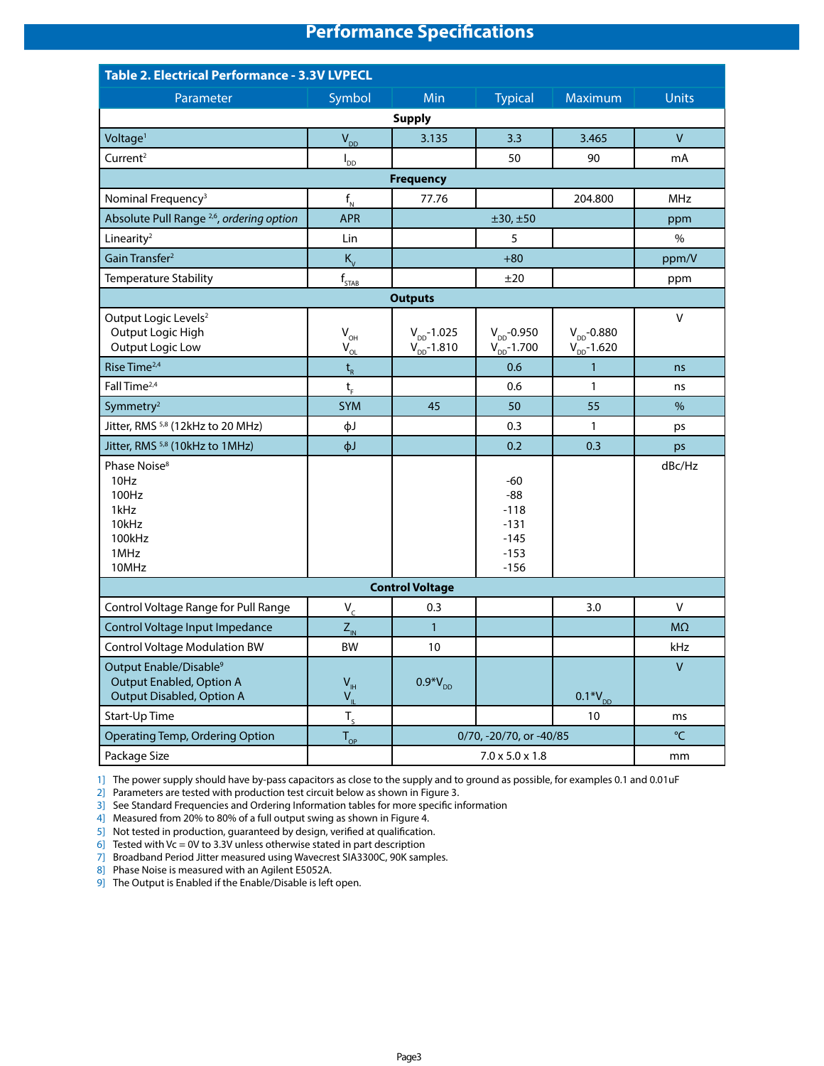# **Performance Specifications**

| Table 2. Electrical Performance - 3.3V LVPECL                                               |                                            |                                      |                                                                  |                                     |                |  |  |  |
|---------------------------------------------------------------------------------------------|--------------------------------------------|--------------------------------------|------------------------------------------------------------------|-------------------------------------|----------------|--|--|--|
| Parameter                                                                                   | Symbol                                     | Min                                  | <b>Typical</b>                                                   | Maximum                             | <b>Units</b>   |  |  |  |
|                                                                                             |                                            | <b>Supply</b>                        |                                                                  |                                     |                |  |  |  |
| Voltage <sup>1</sup>                                                                        | $V_{DD}$                                   | 3.135                                | 3.3                                                              | 3.465                               | $\mathsf{V}$   |  |  |  |
| Current <sup>2</sup>                                                                        | $I_{DD}$                                   |                                      | 50                                                               | 90                                  | mA             |  |  |  |
|                                                                                             |                                            | <b>Frequency</b>                     |                                                                  |                                     |                |  |  |  |
| Nominal Frequency <sup>3</sup>                                                              | $f_{N}$                                    | 77.76                                |                                                                  | 204.800                             | <b>MHz</b>     |  |  |  |
| Absolute Pull Range <sup>2,6</sup> , ordering option                                        | <b>APR</b>                                 |                                      | ±30, ±50                                                         |                                     | ppm            |  |  |  |
| Linearity <sup>2</sup>                                                                      | Lin                                        |                                      | 5                                                                |                                     | %              |  |  |  |
| Gain Transfer <sup>2</sup>                                                                  | $K_{\rm v}$                                |                                      | $+80$                                                            |                                     | ppm/V          |  |  |  |
| Temperature Stability                                                                       | $\boldsymbol{f}_{\underline{\text{STAB}}}$ |                                      | ±20                                                              |                                     | ppm            |  |  |  |
|                                                                                             |                                            | <b>Outputs</b>                       |                                                                  |                                     |                |  |  |  |
| Output Logic Levels <sup>2</sup><br>Output Logic High<br><b>Output Logic Low</b>            | $V_{\text{OH}}$<br>$V_{OL}$                | $V_{DD} - 1.025$<br>$V_{DD} - 1.810$ | $V_{DD} - 0.950$<br>$V_{DD}$ -1.700                              | $V_{DD}$ -0.880<br>$V_{DD} - 1.620$ | V              |  |  |  |
| Rise Time <sup>2,4</sup>                                                                    | $t_{R}$                                    |                                      | 0.6                                                              | $\mathbf{1}$                        | ns             |  |  |  |
| Fall Time <sup>2,4</sup>                                                                    | $t_{\rm F}$                                |                                      | 0.6                                                              | 1                                   | ns             |  |  |  |
| Symmetry <sup>2</sup>                                                                       | <b>SYM</b>                                 | 45                                   | 50                                                               | 55                                  | %              |  |  |  |
| Jitter, RMS <sup>5,8</sup> (12kHz to 20 MHz)                                                | фJ                                         |                                      | 0.3                                                              | $\mathbf{1}$                        | ps             |  |  |  |
| Jitter, RMS <sup>5,8</sup> (10kHz to 1MHz)                                                  | фJ                                         |                                      | 0.2                                                              | 0.3                                 | ps             |  |  |  |
| Phase Noise <sup>8</sup><br>10Hz<br>100Hz<br>1kHz<br>10kHz<br>100kHz<br>1MHz<br>10MHz       |                                            |                                      | $-60$<br>$-88$<br>$-118$<br>$-131$<br>$-145$<br>$-153$<br>$-156$ |                                     | dBc/Hz         |  |  |  |
|                                                                                             |                                            | <b>Control Voltage</b>               |                                                                  |                                     |                |  |  |  |
| Control Voltage Range for Pull Range                                                        | $V_c$                                      | 0.3                                  |                                                                  | 3.0                                 | V              |  |  |  |
| Control Voltage Input Impedance                                                             | $Z_{\text{IN}}$                            | $\mathbf{1}$                         |                                                                  |                                     | M <sub>2</sub> |  |  |  |
| <b>Control Voltage Modulation BW</b>                                                        | <b>BW</b>                                  | 10                                   |                                                                  |                                     | kHz            |  |  |  |
| Output Enable/Disable <sup>9</sup><br>Output Enabled, Option A<br>Output Disabled, Option A | $V_{\rm IH}$<br>$V_{\parallel}$            | $0.9*V_{DD}$                         |                                                                  | $0.1*V_{DD}$                        | $\mathsf{V}$   |  |  |  |
| Start-Up Time                                                                               | $T_{s}$                                    |                                      |                                                                  | 10                                  | ms             |  |  |  |
| Operating Temp, Ordering Option                                                             | $T_{\text{OP}}$                            |                                      | 0/70, -20/70, or -40/85                                          |                                     | °C             |  |  |  |
| Package Size                                                                                |                                            | $7.0 \times 5.0 \times 1.8$<br>mm    |                                                                  |                                     |                |  |  |  |

1] The power supply should have by-pass capacitors as close to the supply and to ground as possible, for examples 0.1 and 0.01uF

2] Parameters are tested with production test circuit below as shown in Figure 3.

3] See Standard Frequencies and Ordering Information tables for more specific information

4] Measured from 20% to 80% of a full output swing as shown in Figure 4.

5] Not tested in production, guaranteed by design, verified at qualification.

6] Tested with Vc = 0V to 3.3V unless otherwise stated in part description

7] Broadband Period Jitter measured using Wavecrest SIA3300C, 90K samples.

8] Phase Noise is measured with an Agilent E5052A.

9] The Output is Enabled if the Enable/Disable is left open.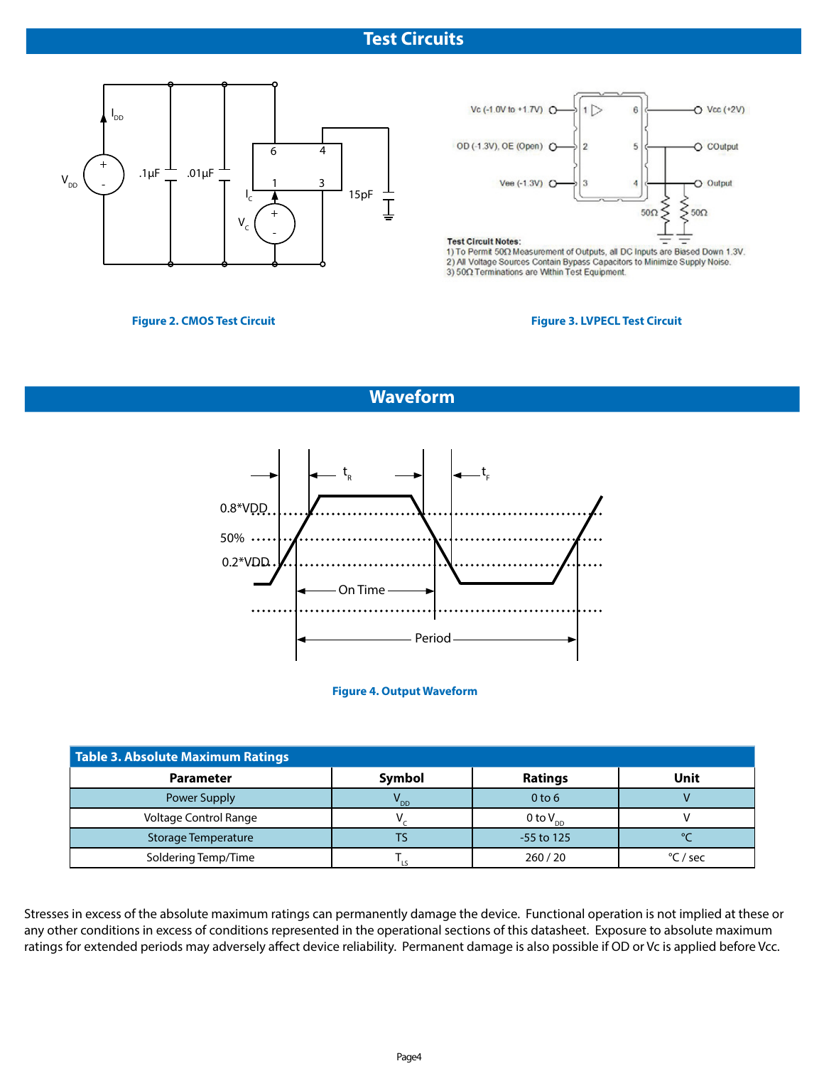# **Test Circuits**





**Test Circuit Notes:** 

1) To Permit 50Ω Measurement of Outputs, all DC Inputs are Biased Down 1.3V. 2) All Voltage Sources Contain Bypass Capacitors to Minimize Supply Noise.<br>3)  $50\Omega$  Terminations are Within Test Equipment.

### **Figure 2. CMOS Test Circuit**

### **Figure 3. LVPECL Test Circuit**

# **Waveform**



**Figure 4. Output Waveform**

| Table 3. Absolute Maximum Ratings |          |                   |          |  |  |  |  |  |
|-----------------------------------|----------|-------------------|----------|--|--|--|--|--|
| <b>Parameter</b>                  | Symbol   | <b>Ratings</b>    | Unit     |  |  |  |  |  |
| Power Supply                      | $V_{DD}$ | 0 <sub>to</sub> 6 |          |  |  |  |  |  |
| <b>Voltage Control Range</b>      |          | 0 to $V_{DD}$     |          |  |  |  |  |  |
| Storage Temperature               | ГS       | $-55$ to 125      |          |  |  |  |  |  |
| Soldering Temp/Time               |          | 260/20            | °C / sec |  |  |  |  |  |

Stresses in excess of the absolute maximum ratings can permanently damage the device. Functional operation is not implied at these or any other conditions in excess of conditions represented in the operational sections of this datasheet. Exposure to absolute maximum ratings for extended periods may adversely affect device reliability. Permanent damage is also possible if OD or Vc is applied before Vcc.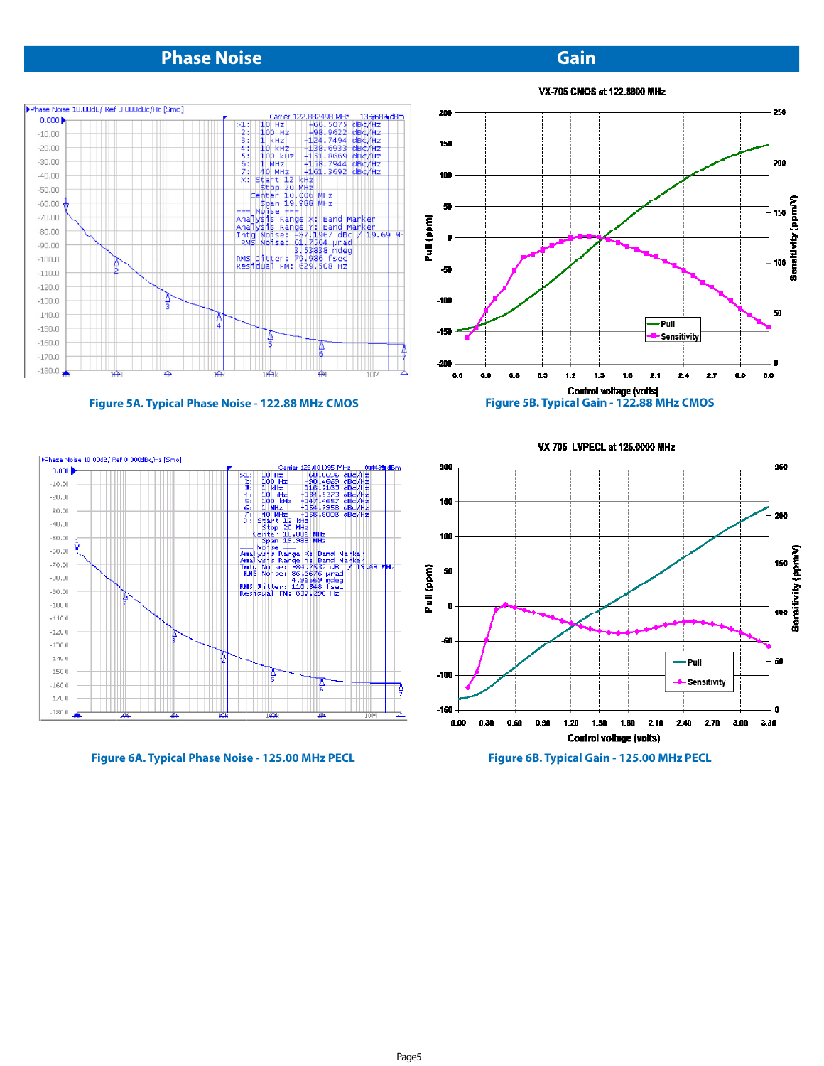# **Phase Noise Gain**

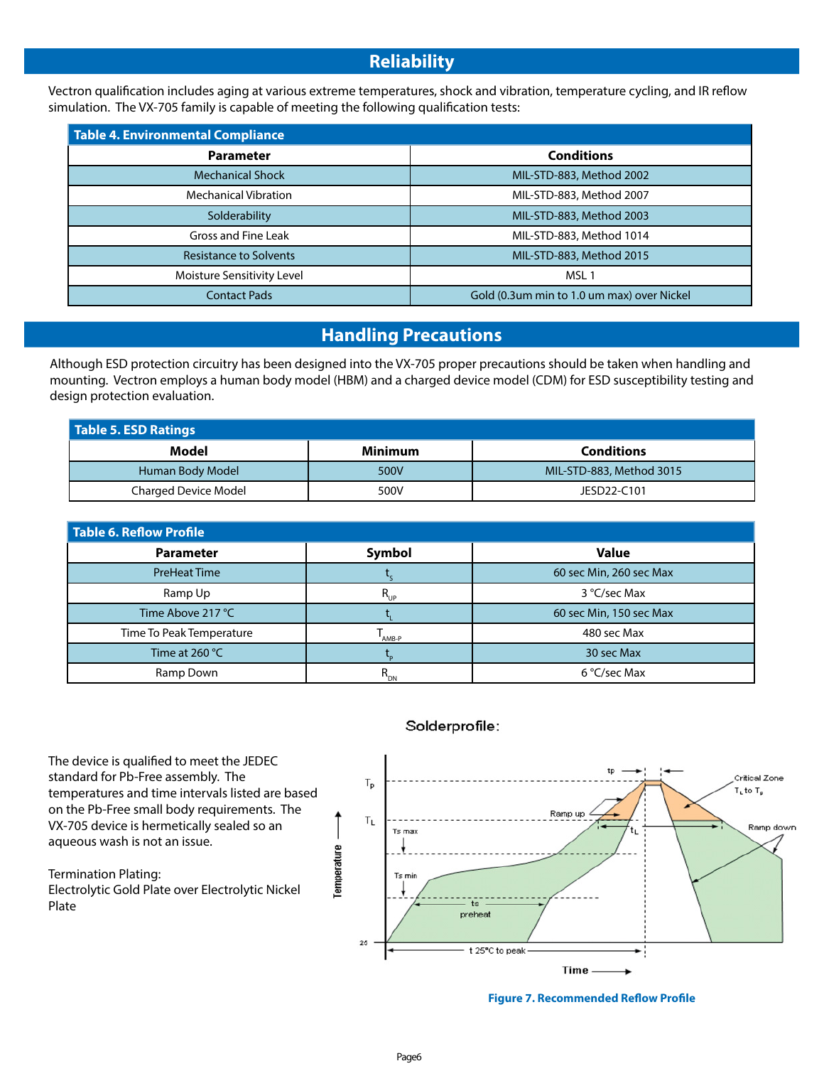# **Reliability**

Vectron qualification includes aging at various extreme temperatures, shock and vibration, temperature cycling, and IR reflow simulation. The VX-705 family is capable of meeting the following qualification tests:

| Table 4. Environmental Compliance |                                            |  |  |  |  |  |
|-----------------------------------|--------------------------------------------|--|--|--|--|--|
| <b>Parameter</b>                  | <b>Conditions</b>                          |  |  |  |  |  |
| <b>Mechanical Shock</b>           | MIL-STD-883, Method 2002                   |  |  |  |  |  |
| <b>Mechanical Vibration</b>       | MIL-STD-883, Method 2007                   |  |  |  |  |  |
| Solderability                     | MIL-STD-883, Method 2003                   |  |  |  |  |  |
| Gross and Fine Leak               | MIL-STD-883, Method 1014                   |  |  |  |  |  |
| <b>Resistance to Solvents</b>     | MIL-STD-883, Method 2015                   |  |  |  |  |  |
| Moisture Sensitivity Level        | MSL <sub>1</sub>                           |  |  |  |  |  |
| <b>Contact Pads</b>               | Gold (0.3um min to 1.0 um max) over Nickel |  |  |  |  |  |

# **Handling Precautions**

Although ESD protection circuitry has been designed into the VX-705 proper precautions should be taken when handling and mounting. Vectron employs a human body model (HBM) and a charged device model (CDM) for ESD susceptibility testing and design protection evaluation.

| Table 5. ESD Ratings |                |                          |  |  |  |  |  |
|----------------------|----------------|--------------------------|--|--|--|--|--|
| Model                | <b>Minimum</b> | <b>Conditions</b>        |  |  |  |  |  |
| Human Body Model     | 500V           | MIL-STD-883, Method 3015 |  |  |  |  |  |
| Charged Device Model | 500V           | JESD22-C101              |  |  |  |  |  |

| Table 6. Reflow Profile  |                 |                         |  |  |  |  |  |
|--------------------------|-----------------|-------------------------|--|--|--|--|--|
| <b>Parameter</b>         | Symbol          | <b>Value</b>            |  |  |  |  |  |
| <b>PreHeat Time</b>      |                 | 60 sec Min, 260 sec Max |  |  |  |  |  |
| Ramp Up                  | $R_{_{\sf UP}}$ | 3 °C/sec Max            |  |  |  |  |  |
| Time Above 217 °C        |                 | 60 sec Min, 150 sec Max |  |  |  |  |  |
| Time To Peak Temperature | AMB-P           | 480 sec Max             |  |  |  |  |  |
| Time at 260 $^{\circ}$ C |                 | 30 sec Max              |  |  |  |  |  |
| Ramp Down                |                 | 6 °C/sec Max            |  |  |  |  |  |

The device is qualified to meet the JEDEC standard for Pb-Free assembly. The temperatures and time intervals listed are based on the Pb-Free small body requirements. The VX-705 device is hermetically sealed so an aqueous wash is not an issue.

Termination Plating: Electrolytic Gold Plate over Electrolytic Nickel Plate

## Solderprofile:



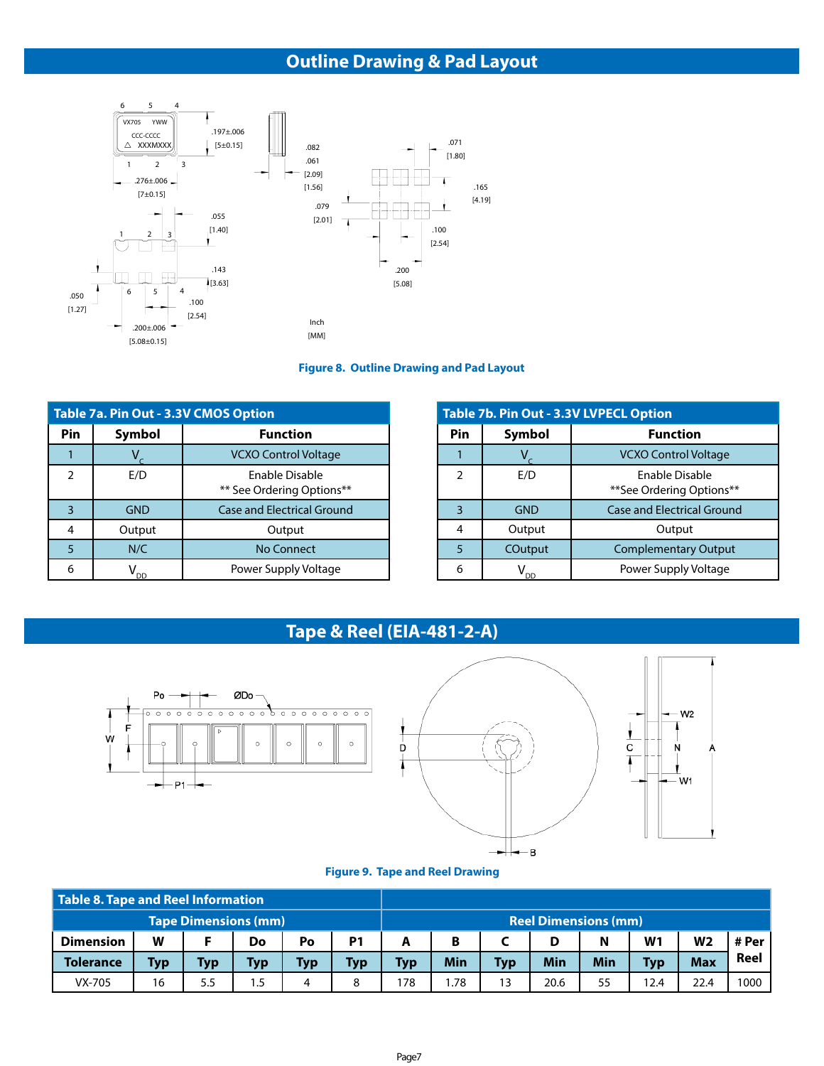# **Outline Drawing & Pad Layout**



### **Figure 8. Outline Drawing and Pad Layout**

| Table 7a. Pin Out - 3.3V CMOS Option |               |                                             |  |  |  |  |
|--------------------------------------|---------------|---------------------------------------------|--|--|--|--|
| Pin                                  | <b>Symbol</b> | <b>Function</b>                             |  |  |  |  |
|                                      |               | <b>VCXO Control Voltage</b>                 |  |  |  |  |
| 2                                    | E/D           | Enable Disable<br>** See Ordering Options** |  |  |  |  |
| $\overline{3}$                       | <b>GND</b>    | <b>Case and Electrical Ground</b>           |  |  |  |  |
| 4                                    | Output        | Output                                      |  |  |  |  |
| 5                                    | N/C           | <b>No Connect</b>                           |  |  |  |  |
| 6                                    |               | Power Supply Voltage                        |  |  |  |  |

| Table 7b. Pin Out - 3.3V LVPECL Option |            |                                            |  |  |  |  |
|----------------------------------------|------------|--------------------------------------------|--|--|--|--|
| Pin                                    | Symbol     | <b>Function</b>                            |  |  |  |  |
|                                        |            | <b>VCXO Control Voltage</b>                |  |  |  |  |
| $\mathcal{P}$                          | E/D        | Enable Disable<br>**See Ordering Options** |  |  |  |  |
| 3                                      | <b>GND</b> | <b>Case and Electrical Ground</b>          |  |  |  |  |
| 4                                      | Output     | Output                                     |  |  |  |  |
| 5                                      | COutput    | <b>Complementary Output</b>                |  |  |  |  |
| 6                                      | nn         | Power Supply Voltage                       |  |  |  |  |

# **Tape & Reel (EIA-481-2-A)**



#### **Figure 9. Tape and Reel Drawing**

| Table 8. Tape and Reel Information |            |                             |            |     |                |                               |     |            |      |     |                |            |      |
|------------------------------------|------------|-----------------------------|------------|-----|----------------|-------------------------------|-----|------------|------|-----|----------------|------------|------|
|                                    |            | <b>Tape Dimensions (mm)</b> |            |     |                | <b>Reel Dimensions (mm)</b>   |     |            |      |     |                |            |      |
| <b>Dimension</b>                   | W          |                             | Do         | Po  | P <sub>1</sub> | B<br>W <sub>1</sub><br>N<br>D |     |            |      |     | W <sub>2</sub> | # Per      |      |
| <b>Tolerance</b>                   | <b>Typ</b> | Тур                         | <b>Typ</b> | Тур | Typ            | Typ                           | Min | <b>Typ</b> | Min  | Min | <b>Typ</b>     | <b>Max</b> | Reel |
| VX-705                             | 16         | 5.5                         | 1.5        | 4   | 8              | 178                           | .78 | 13         | 20.6 | 55  | 12.4           | 22.4       | 1000 |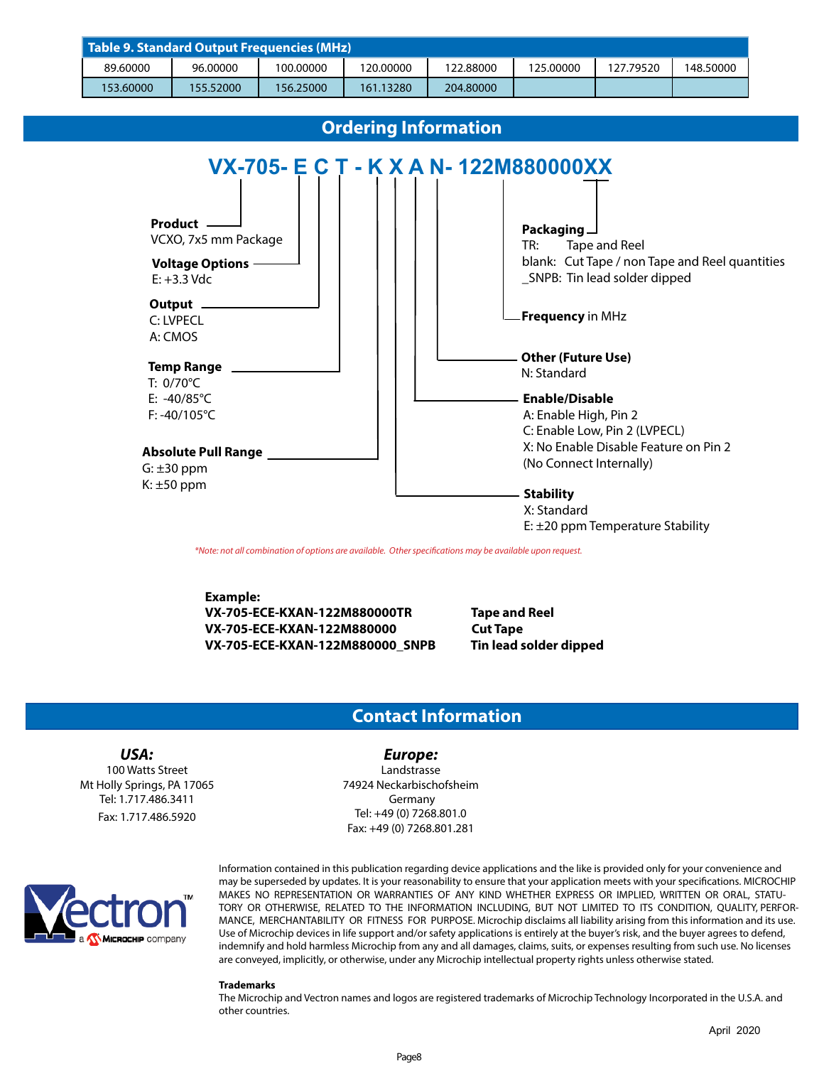| Table 9. Standard Output Frequencies (MHz) |           |           |           |           |           |           |           |  |  |
|--------------------------------------------|-----------|-----------|-----------|-----------|-----------|-----------|-----------|--|--|
| 89.60000                                   | 96.00000  | 100.00000 | 120.00000 | 122.88000 | 125.00000 | 127.79520 | 148.50000 |  |  |
| 153,60000                                  | 155.52000 | 156.25000 | 161.13280 | 204.80000 |           |           |           |  |  |



\*Note: not all combination of options are available. Other specifications may be available upon request.

**Example: VX-705-ECE-KXAN-122M880000TR Tape and Reel VX-705-ECE-KXAN-122M880000 Cut Tape VX-705-ECE-KXAN-122M880000\_SNPB Tin lead solder dipped** 

## **Contact Information**

#### **USA:** 100 Watts Street Mt Holly Springs, PA 17065 Tel: 1.717.486.3411 Fax: 1.717.486.5920

**Europe:** Landstrasse 74924 Neckarbischofsheim Germany Tel: +49 (0) 7268.801.0 Fax: +49 (0) 7268.801.281



Information contained in this publication regarding device applications and the like is provided only for your convenience and may be superseded by updates. It is your reasonability to ensure that your application meets with your specifications. MICROCHIP MAKES NO REPRESENTATION OR WARRANTIES OF ANY KIND WHETHER EXPRESS OR IMPLIED, WRITTEN OR ORAL, STATU-TORY OR OTHERWISE, RELATED TO THE INFORMATION INCLUDING, BUT NOT LIMITED TO ITS CONDITION, QUALITY, PERFOR-MANCE, MERCHANTABILITY OR FITNESS FOR PURPOSE. Microchip disclaims all liability arising from this information and its use. Use of Microchip devices in life support and/or safety applications is entirely at the buyer's risk, and the buyer agrees to defend, indemnify and hold harmless Microchip from any and all damages, claims, suits, or expenses resulting from such use. No licenses are conveyed, implicitly, or otherwise, under any Microchip intellectual property rights unless otherwise stated.

#### **Trademarks**

The Microchip and Vectron names and logos are registered trademarks of Microchip Technology Incorporated in the U.S.A. and other countries.